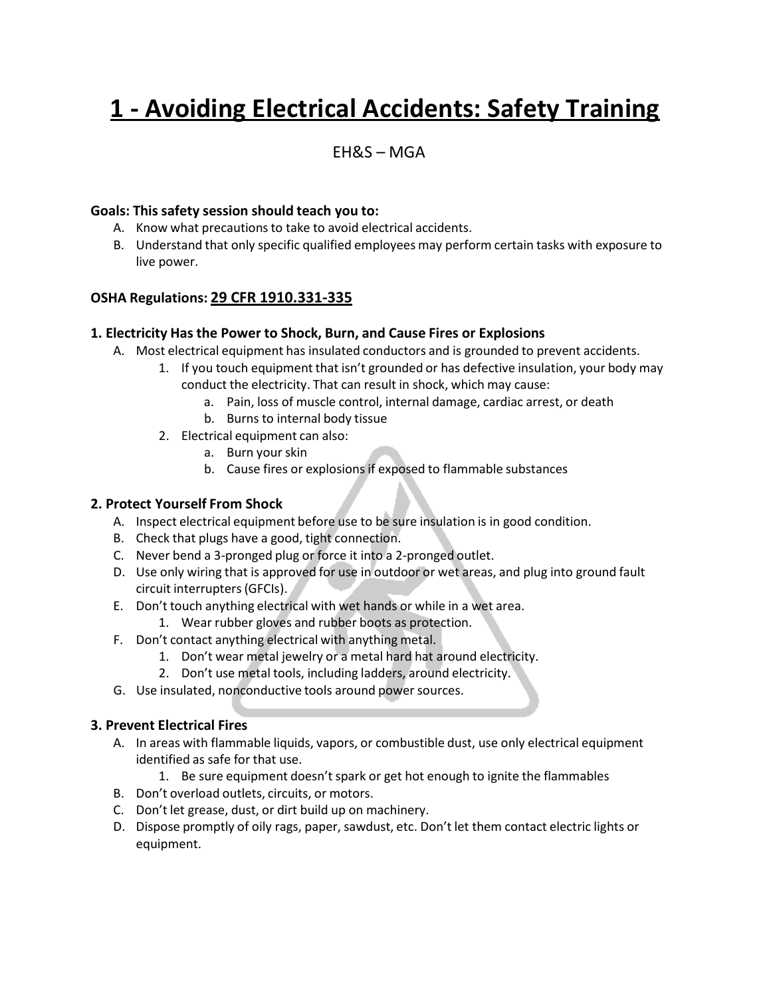# **1 - Avoiding Electrical Accidents: Safety Training**

### $FHRS - MGA$

#### **Goals: This safety session should teach you to:**

- A. Know what precautions to take to avoid electrical accidents.
- B. Understand that only specific qualified employees may perform certain tasks with exposure to live power.

#### **OSHA Regulations: 29 CFR 1910.331-335**

#### **1. Electricity Has the Power to Shock, Burn, and Cause Fires or Explosions**

- A. Most electrical equipment has insulated conductors and is grounded to prevent accidents.
	- 1. If you touch equipment that isn't grounded or has defective insulation, your body may conduct the electricity. That can result in shock, which may cause:
		- a. Pain, loss of muscle control, internal damage, cardiac arrest, or death
		- b. Burns to internal body tissue
	- 2. Electrical equipment can also:
		- a. Burn your skin
		- b. Cause fires or explosions if exposed to flammable substances

#### **2. Protect Yourself From Shock**

- A. Inspect electrical equipment before use to be sure insulation is in good condition.
- B. Check that plugs have a good, tight connection.
- C. Never bend a 3-pronged plug or force it into a 2-pronged outlet.
- D. Use only wiring that is approved for use in outdoor or wet areas, and plug into ground fault circuit interrupters(GFCIs).
- E. Don't touch anything electrical with wet hands or while in a wet area.
	- 1. Wear rubber gloves and rubber boots as protection.
- F. Don't contact anything electrical with anything metal.
	- 1. Don't wear metal jewelry or a metal hard hat around electricity.
	- 2. Don't use metal tools, including ladders, around electricity.
- G. Use insulated, nonconductive tools around power sources.

#### **3. Prevent Electrical Fires**

- A. In areas with flammable liquids, vapors, or combustible dust, use only electrical equipment identified as safe for that use.
	- 1. Be sure equipment doesn't spark or get hot enough to ignite the flammables
- B. Don't overload outlets, circuits, or motors.
- C. Don't let grease, dust, or dirt build up on machinery.
- D. Dispose promptly of oily rags, paper, sawdust, etc. Don't let them contact electric lights or equipment.